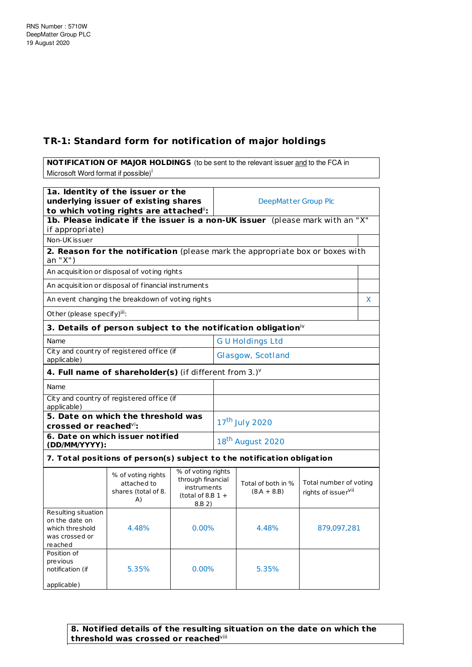## **TR-1: Standard form for notification of major holdings**

**NOTIFICATION OF MAJOR HOLDINGS** (to be sent to the relevant issuer and to the FCA in Microsoft Word format if possible)<sup>i</sup>

| 1a. Identity of the issuer or the<br>underlying issuer of existing shares<br>to which voting rights are attached": |                                                                               |                                                                                                |                              | DeepMatter Group Plc                |                                                           |   |
|--------------------------------------------------------------------------------------------------------------------|-------------------------------------------------------------------------------|------------------------------------------------------------------------------------------------|------------------------------|-------------------------------------|-----------------------------------------------------------|---|
| if appropriate)                                                                                                    | 1b. Please indicate if the issuer is a non-UK issuer (please mark with an "X" |                                                                                                |                              |                                     |                                                           |   |
| Non-UK issuer                                                                                                      |                                                                               |                                                                                                |                              |                                     |                                                           |   |
| an "X")                                                                                                            | 2. Reason for the notification (please mark the appropriate box or boxes with |                                                                                                |                              |                                     |                                                           |   |
|                                                                                                                    | An acquisition or disposal of voting rights                                   |                                                                                                |                              |                                     |                                                           |   |
|                                                                                                                    | An acquisition or disposal of financial instruments                           |                                                                                                |                              |                                     |                                                           |   |
|                                                                                                                    | An event changing the breakdown of voting rights                              |                                                                                                |                              |                                     |                                                           | X |
| Other (please specify)iii:                                                                                         |                                                                               |                                                                                                |                              |                                     |                                                           |   |
|                                                                                                                    | 3. Details of person subject to the notification obligation <sup>iv</sup>     |                                                                                                |                              |                                     |                                                           |   |
| Name                                                                                                               |                                                                               |                                                                                                |                              | <b>GU Holdings Ltd</b>              |                                                           |   |
| applicable)                                                                                                        | City and country of registered office (if                                     |                                                                                                | Glasgow, Scotland            |                                     |                                                           |   |
|                                                                                                                    | 4. Full name of shareholder(s) (if different from $3.$ ) $v$                  |                                                                                                |                              |                                     |                                                           |   |
| Name                                                                                                               |                                                                               |                                                                                                |                              |                                     |                                                           |   |
| City and country of registered office (if<br>applicable)                                                           |                                                                               |                                                                                                |                              |                                     |                                                           |   |
| 5. Date on which the threshold was                                                                                 |                                                                               |                                                                                                | 17 <sup>th</sup> July 2020   |                                     |                                                           |   |
| crossed or reached <sup>vi</sup> :<br>6. Date on which issuer notified                                             |                                                                               |                                                                                                |                              |                                     |                                                           |   |
| (DD/MM/YYYY):                                                                                                      |                                                                               |                                                                                                | 18 <sup>th</sup> August 2020 |                                     |                                                           |   |
| 7. Total positions of person(s) subject to the notification obligation                                             |                                                                               |                                                                                                |                              |                                     |                                                           |   |
|                                                                                                                    | % of voting rights<br>attached to<br>shares (total of 8.<br>A)                | % of voting rights<br>through financial<br><i>instruments</i><br>(total of 8.B $1 +$<br>8.B 2) |                              | Total of both in %<br>$(8.A + 8.B)$ | Total number of voting<br>rights of issuer <sup>vii</sup> |   |
| Resulting situation<br>on the date on<br>which threshold<br>was crossed or<br>reached                              | 4.48%                                                                         | $0.00\%$                                                                                       |                              | 4.48%                               | 879,097,281                                               |   |
| Position of<br>previous<br>notification (if<br>applicable)                                                         | 5.35%                                                                         | $0.00\%$                                                                                       |                              | 5.35%                               |                                                           |   |

**8. Notified details of the resulting situation on the date on which the threshold was crossed or reached** viii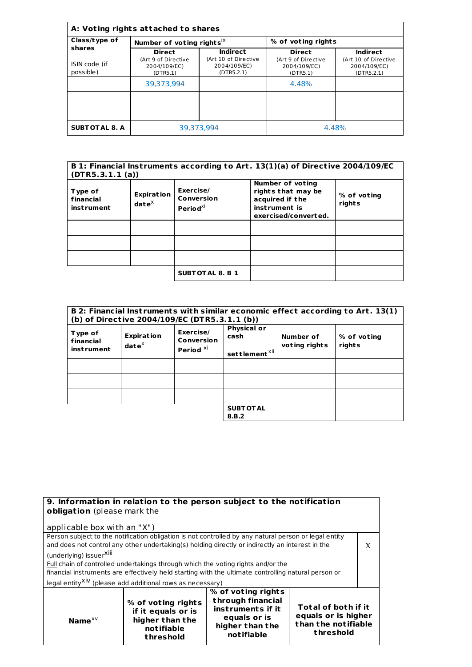## **A: Vot ing rights at tached to shares**

| Class/type of              | Number of voting rights <sup>ix</sup>           |                                                    | % of voting rights                              |                                                    |
|----------------------------|-------------------------------------------------|----------------------------------------------------|-------------------------------------------------|----------------------------------------------------|
| shares                     | <b>Direct</b>                                   | <b>Indirect</b>                                    | <b>Direct</b>                                   | <b>Indirect</b>                                    |
| ISIN code (if<br>possible) | (Art 9 of Directive<br>2004/109/EC)<br>(DTR5.1) | (Art 10 of Directive<br>2004/109/EC)<br>(DTR5.2.1) | (Art 9 of Directive<br>2004/109/EC)<br>(DTR5.1) | (Art 10 of Directive<br>2004/109/EC)<br>(DTR5.2.1) |
|                            | 39.373.994                                      |                                                    | 4.48%                                           |                                                    |
|                            |                                                 |                                                    |                                                 |                                                    |
|                            |                                                 |                                                    |                                                 |                                                    |
| <b>SUBTOTAL 8. A</b>       | 39,373,994                                      |                                                    |                                                 | 4.48%                                              |

| B 1: Financial Instruments according to Art. 13(1)(a) of Directive 2004/109/EC<br>(DTR5.3.1.1(a)) |                                                   |                                                 |                                                                                                    |                       |
|---------------------------------------------------------------------------------------------------|---------------------------------------------------|-------------------------------------------------|----------------------------------------------------------------------------------------------------|-----------------------|
| Type of<br>financial<br><i>instrument</i>                                                         | <b>Expiration</b><br>$\mathbf{date}^{\mathsf{X}}$ | Exercise/<br>Conversion<br>Period <sup>xi</sup> | Number of voting<br>rights that may be<br>acquired if the<br>instrument is<br>exercised/converted. | % of voting<br>rights |
|                                                                                                   |                                                   |                                                 |                                                                                                    |                       |
|                                                                                                   |                                                   |                                                 |                                                                                                    |                       |
|                                                                                                   |                                                   |                                                 |                                                                                                    |                       |
|                                                                                                   |                                                   | <b>SUBTOTAL 8. B 1</b>                          |                                                                                                    |                       |

| B 2: Financial Instruments with similar economic effect according to Art. 13(1)<br>(b) of Directive 2004/109/EC (DTR5.3.1.1 (b)) |                                    |                                                 |                                                         |                            |                       |
|----------------------------------------------------------------------------------------------------------------------------------|------------------------------------|-------------------------------------------------|---------------------------------------------------------|----------------------------|-----------------------|
| Type of<br>financial<br>instrument                                                                                               | <b>Expiration</b><br>$date^{\chi}$ | Exercise/<br>Conversion<br>Period <sup>xi</sup> | <b>Physical or</b><br>cash<br>settlement <sup>xii</sup> | Number of<br>voting rights | % of voting<br>rights |
|                                                                                                                                  |                                    |                                                 |                                                         |                            |                       |
|                                                                                                                                  |                                    |                                                 |                                                         |                            |                       |
|                                                                                                                                  |                                    |                                                 |                                                         |                            |                       |
|                                                                                                                                  |                                    |                                                 | <b>SUBT OT AL</b><br>8.B.2                              |                            |                       |

| 9. Information in relation to the person subject to the notification                                |                                                                                                       |                                                                                                               |                                                                                |   |
|-----------------------------------------------------------------------------------------------------|-------------------------------------------------------------------------------------------------------|---------------------------------------------------------------------------------------------------------------|--------------------------------------------------------------------------------|---|
| obligation (please mark the                                                                         |                                                                                                       |                                                                                                               |                                                                                |   |
| applicable box with an "X")                                                                         |                                                                                                       |                                                                                                               |                                                                                |   |
|                                                                                                     | Person subject to the notification obligation is not controlled by any natural person or legal entity |                                                                                                               |                                                                                |   |
|                                                                                                     | and does not control any other undertaking(s) holding directly or indirectly an interest in the       |                                                                                                               |                                                                                | X |
| (underlying) issuerXill                                                                             |                                                                                                       |                                                                                                               |                                                                                |   |
| Full chain of controlled undertakings through which the voting rights and/or the                    |                                                                                                       |                                                                                                               |                                                                                |   |
| financial instruments are effectively held starting with the ultimate controlling natural person or |                                                                                                       |                                                                                                               |                                                                                |   |
| legal entity <sup>XiV</sup> (please add additional rows as necessary)                               |                                                                                                       |                                                                                                               |                                                                                |   |
| Name $x \vee$                                                                                       | % of voting rights<br>if it equals or is<br>higher than the<br>notifiable<br>threshold                | % of voting rights<br>through financial<br>instruments if it<br>equals or is<br>higher than the<br>notifiable | Total of both if it<br>equals or is higher<br>than the notifiable<br>threshold |   |